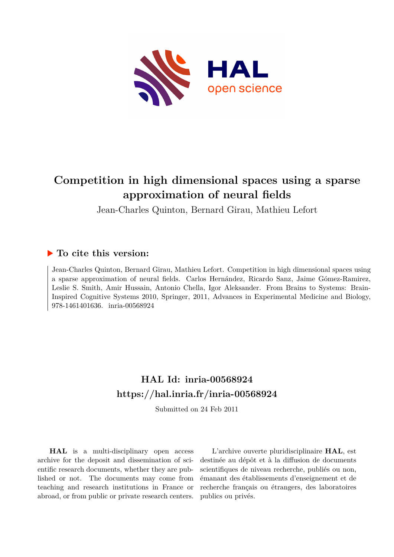

# **Competition in high dimensional spaces using a sparse approximation of neural fields**

Jean-Charles Quinton, Bernard Girau, Mathieu Lefort

# **To cite this version:**

Jean-Charles Quinton, Bernard Girau, Mathieu Lefort. Competition in high dimensional spaces using a sparse approximation of neural fields. Carlos Hernández, Ricardo Sanz, Jaime Gómez-Ramirez, Leslie S. Smith, Amir Hussain, Antonio Chella, Igor Aleksander. From Brains to Systems: Brain-Inspired Cognitive Systems 2010, Springer, 2011, Advances in Experimental Medicine and Biology, 978-1461401636. inria-00568924

# **HAL Id: inria-00568924 <https://hal.inria.fr/inria-00568924>**

Submitted on 24 Feb 2011

**HAL** is a multi-disciplinary open access archive for the deposit and dissemination of scientific research documents, whether they are published or not. The documents may come from teaching and research institutions in France or abroad, or from public or private research centers.

L'archive ouverte pluridisciplinaire **HAL**, est destinée au dépôt et à la diffusion de documents scientifiques de niveau recherche, publiés ou non, émanant des établissements d'enseignement et de recherche français ou étrangers, des laboratoires publics ou privés.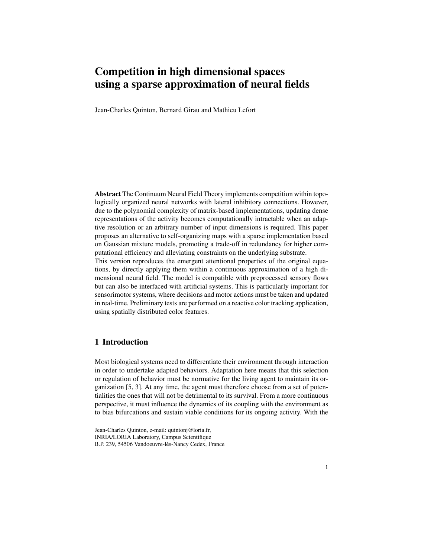# Competition in high dimensional spaces using a sparse approximation of neural fields

Jean-Charles Quinton, Bernard Girau and Mathieu Lefort

Abstract The Continuum Neural Field Theory implements competition within topologically organized neural networks with lateral inhibitory connections. However, due to the polynomial complexity of matrix-based implementations, updating dense representations of the activity becomes computationally intractable when an adaptive resolution or an arbitrary number of input dimensions is required. This paper proposes an alternative to self-organizing maps with a sparse implementation based on Gaussian mixture models, promoting a trade-off in redundancy for higher computational efficiency and alleviating constraints on the underlying substrate.

This version reproduces the emergent attentional properties of the original equations, by directly applying them within a continuous approximation of a high dimensional neural field. The model is compatible with preprocessed sensory flows but can also be interfaced with artificial systems. This is particularly important for sensorimotor systems, where decisions and motor actions must be taken and updated in real-time. Preliminary tests are performed on a reactive color tracking application, using spatially distributed color features.

## 1 Introduction

Most biological systems need to differentiate their environment through interaction in order to undertake adapted behaviors. Adaptation here means that this selection or regulation of behavior must be normative for the living agent to maintain its organization [5, 3]. At any time, the agent must therefore choose from a set of potentialities the ones that will not be detrimental to its survival. From a more continuous perspective, it must influence the dynamics of its coupling with the environment as to bias bifurcations and sustain viable conditions for its ongoing activity. With the

Jean-Charles Quinton, e-mail: quintonj@loria.fr,

INRIA/LORIA Laboratory, Campus Scientifique

B.P. 239, 54506 Vandoeuvre-lès-Nancy Cedex, France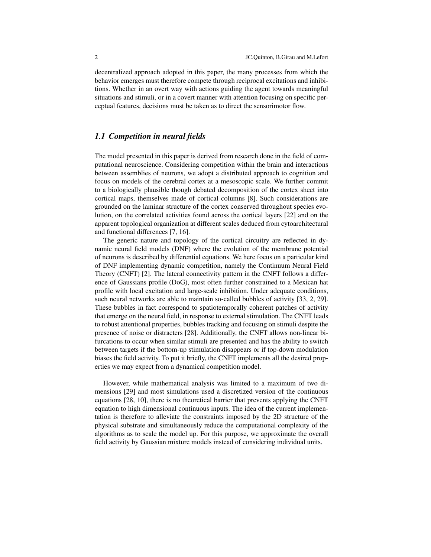decentralized approach adopted in this paper, the many processes from which the behavior emerges must therefore compete through reciprocal excitations and inhibitions. Whether in an overt way with actions guiding the agent towards meaningful situations and stimuli, or in a covert manner with attention focusing on specific perceptual features, decisions must be taken as to direct the sensorimotor flow.

## *1.1 Competition in neural fields*

The model presented in this paper is derived from research done in the field of computational neuroscience. Considering competition within the brain and interactions between assemblies of neurons, we adopt a distributed approach to cognition and focus on models of the cerebral cortex at a mesoscopic scale. We further commit to a biologically plausible though debated decomposition of the cortex sheet into cortical maps, themselves made of cortical columns [8]. Such considerations are grounded on the laminar structure of the cortex conserved throughout species evolution, on the correlated activities found across the cortical layers [22] and on the apparent topological organization at different scales deduced from cytoarchitectural and functional differences [7, 16].

The generic nature and topology of the cortical circuitry are reflected in dynamic neural field models (DNF) where the evolution of the membrane potential of neurons is described by differential equations. We here focus on a particular kind of DNF implementing dynamic competition, namely the Continuum Neural Field Theory (CNFT) [2]. The lateral connectivity pattern in the CNFT follows a difference of Gaussians profile (DoG), most often further constrained to a Mexican hat profile with local excitation and large-scale inhibition. Under adequate conditions, such neural networks are able to maintain so-called bubbles of activity [33, 2, 29]. These bubbles in fact correspond to spatiotemporally coherent patches of activity that emerge on the neural field, in response to external stimulation. The CNFT leads to robust attentional properties, bubbles tracking and focusing on stimuli despite the presence of noise or distracters [28]. Additionally, the CNFT allows non-linear bifurcations to occur when similar stimuli are presented and has the ability to switch between targets if the bottom-up stimulation disappears or if top-down modulation biases the field activity. To put it briefly, the CNFT implements all the desired properties we may expect from a dynamical competition model.

However, while mathematical analysis was limited to a maximum of two dimensions [29] and most simulations used a discretized version of the continuous equations [28, 10], there is no theoretical barrier that prevents applying the CNFT equation to high dimensional continuous inputs. The idea of the current implementation is therefore to alleviate the constraints imposed by the 2D structure of the physical substrate and simultaneously reduce the computational complexity of the algorithms as to scale the model up. For this purpose, we approximate the overall field activity by Gaussian mixture models instead of considering individual units.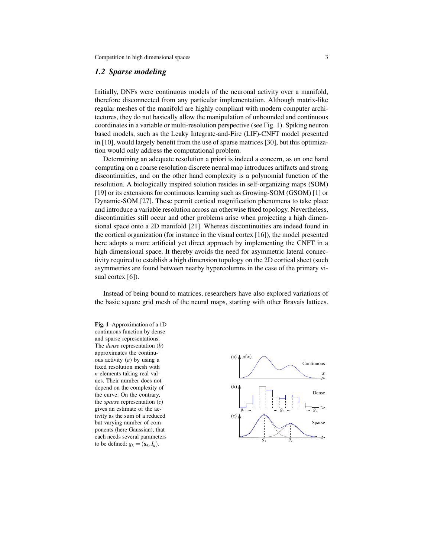#### *1.2 Sparse modeling*

Initially, DNFs were continuous models of the neuronal activity over a manifold, therefore disconnected from any particular implementation. Although matrix-like regular meshes of the manifold are highly compliant with modern computer architectures, they do not basically allow the manipulation of unbounded and continuous coordinates in a variable or multi-resolution perspective (see Fig. 1). Spiking neuron based models, such as the Leaky Integrate-and-Fire (LIF)-CNFT model presented in [10], would largely benefit from the use of sparse matrices [30], but this optimization would only address the computational problem.

Determining an adequate resolution a priori is indeed a concern, as on one hand computing on a coarse resolution discrete neural map introduces artifacts and strong discontinuities, and on the other hand complexity is a polynomial function of the resolution. A biologically inspired solution resides in self-organizing maps (SOM) [19] or its extensions for continuous learning such as Growing-SOM (GSOM) [1] or Dynamic-SOM [27]. These permit cortical magnification phenomena to take place and introduce a variable resolution across an otherwise fixed topology. Nevertheless, discontinuities still occur and other problems arise when projecting a high dimensional space onto a 2D manifold [21]. Whereas discontinuities are indeed found in the cortical organization (for instance in the visual cortex [16]), the model presented here adopts a more artificial yet direct approach by implementing the CNFT in a high dimensional space. It thereby avoids the need for asymmetric lateral connectivity required to establish a high dimension topology on the 2D cortical sheet (such asymmetries are found between nearby hypercolumns in the case of the primary visual cortex [6]).

Instead of being bound to matrices, researchers have also explored variations of the basic square grid mesh of the neural maps, starting with other Bravais lattices.

Fig. 1 Approximation of a 1D continuous function by dense and sparse representations. The *dense* representation (*b*) approximates the continuous activity (*a*) by using a fixed resolution mesh with *n* elements taking real values. Their number does not depend on the complexity of the curve. On the contrary, the *sparse* representation (*c*) gives an estimate of the activity as the sum of a reduced but varying number of components (here Gaussian), that each needs several parameters to be defined:  $g_k = (\mathbf{x}_k, I_k)$ .

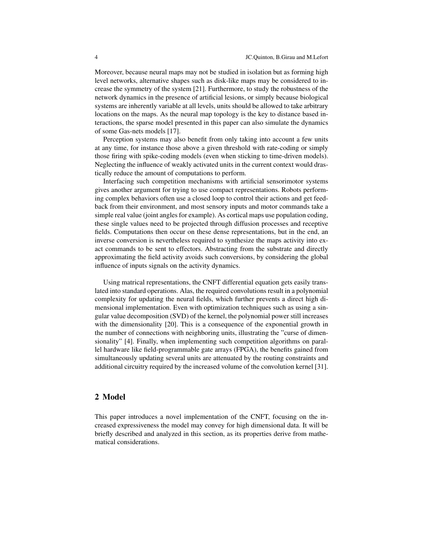Moreover, because neural maps may not be studied in isolation but as forming high level networks, alternative shapes such as disk-like maps may be considered to increase the symmetry of the system [21]. Furthermore, to study the robustness of the network dynamics in the presence of artificial lesions, or simply because biological systems are inherently variable at all levels, units should be allowed to take arbitrary locations on the maps. As the neural map topology is the key to distance based interactions, the sparse model presented in this paper can also simulate the dynamics of some Gas-nets models [17].

Perception systems may also benefit from only taking into account a few units at any time, for instance those above a given threshold with rate-coding or simply those firing with spike-coding models (even when sticking to time-driven models). Neglecting the influence of weakly activated units in the current context would drastically reduce the amount of computations to perform.

Interfacing such competition mechanisms with artificial sensorimotor systems gives another argument for trying to use compact representations. Robots performing complex behaviors often use a closed loop to control their actions and get feedback from their environment, and most sensory inputs and motor commands take a simple real value (joint angles for example). As cortical maps use population coding, these single values need to be projected through diffusion processes and receptive fields. Computations then occur on these dense representations, but in the end, an inverse conversion is nevertheless required to synthesize the maps activity into exact commands to be sent to effectors. Abstracting from the substrate and directly approximating the field activity avoids such conversions, by considering the global influence of inputs signals on the activity dynamics.

Using matrical representations, the CNFT differential equation gets easily translated into standard operations. Alas, the required convolutions result in a polynomial complexity for updating the neural fields, which further prevents a direct high dimensional implementation. Even with optimization techniques such as using a singular value decomposition (SVD) of the kernel, the polynomial power still increases with the dimensionality [20]. This is a consequence of the exponential growth in the number of connections with neighboring units, illustrating the "curse of dimensionality" [4]. Finally, when implementing such competition algorithms on parallel hardware like field-programmable gate arrays (FPGA), the benefits gained from simultaneously updating several units are attenuated by the routing constraints and additional circuitry required by the increased volume of the convolution kernel [31].

#### 2 Model

This paper introduces a novel implementation of the CNFT, focusing on the increased expressiveness the model may convey for high dimensional data. It will be briefly described and analyzed in this section, as its properties derive from mathematical considerations.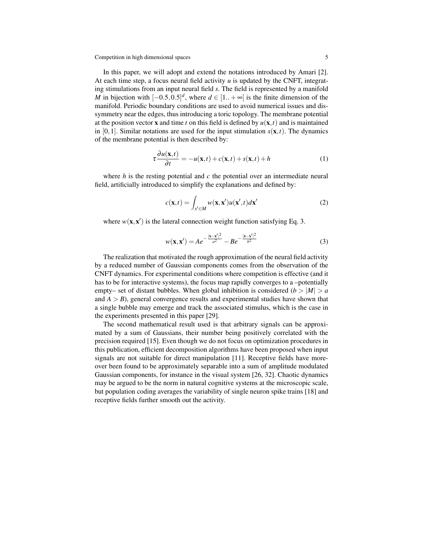Competition in high dimensional spaces 5

In this paper, we will adopt and extend the notations introduced by Amari [2]. At each time step, a focus neural field activity *u* is updated by the CNFT, integrating stimulations from an input neural field *s*. The field is represented by a manifold *M* in bijection with  $[-0.5, 0.5]^d$ , where  $d \in [1.. + \infty]$  is the finite dimension of the manifold. Periodic boundary conditions are used to avoid numerical issues and dissymmetry near the edges, thus introducing a toric topology. The membrane potential at the position vector **x** and time *t* on this field is defined by  $u(\mathbf{x},t)$  and is maintained in [0,1]. Similar notations are used for the input stimulation  $s(\mathbf{x},t)$ . The dynamics of the membrane potential is then described by:

$$
\tau \frac{\partial u(\mathbf{x},t)}{\partial t} = -u(\mathbf{x},t) + c(\mathbf{x},t) + s(\mathbf{x},t) + h \tag{1}
$$

where *h* is the resting potential and *c* the potential over an intermediate neural field, artificially introduced to simplify the explanations and defined by:

$$
c(\mathbf{x},t) = \int_{x' \in M} w(\mathbf{x}, \mathbf{x}') u(\mathbf{x}',t) d\mathbf{x}'
$$
 (2)

where  $w(\mathbf{x}, \mathbf{x}')$  is the lateral connection weight function satisfying Eq. 3.

$$
w(\mathbf{x}, \mathbf{x}') = Ae^{-\frac{|\mathbf{x} - \mathbf{x}'|^2}{a^2}} - Be^{-\frac{|\mathbf{x} - \mathbf{x}'|^2}{b^2}}
$$
(3)

The realization that motivated the rough approximation of the neural field activity by a reduced number of Gaussian components comes from the observation of the CNFT dynamics. For experimental conditions where competition is effective (and it has to be for interactive systems), the focus map rapidly converges to a –potentially empty– set of distant bubbles. When global inhibition is considered  $(b > |M| > a$ and  $A > B$ ), general convergence results and experimental studies have shown that a single bubble may emerge and track the associated stimulus, which is the case in the experiments presented in this paper [29].

The second mathematical result used is that arbitrary signals can be approximated by a sum of Gaussians, their number being positively correlated with the precision required [15]. Even though we do not focus on optimization procedures in this publication, efficient decomposition algorithms have been proposed when input signals are not suitable for direct manipulation [11]. Receptive fields have moreover been found to be approximately separable into a sum of amplitude modulated Gaussian components, for instance in the visual system [26, 32]. Chaotic dynamics may be argued to be the norm in natural cognitive systems at the microscopic scale, but population coding averages the variability of single neuron spike trains [18] and receptive fields further smooth out the activity.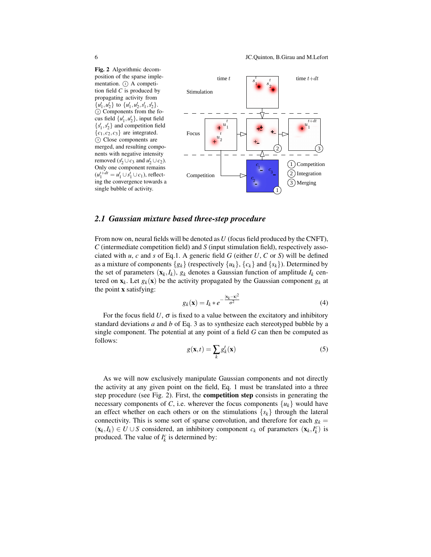Fig. 2 Algorithmic decomposition of the sparse implementation.  $\Omega$  A competition field *C* is produced by propagating activity from  $\{u_1^t, u_2^t\}$  to  $\{u_1^t, u_2^t, s_1^t, s_2^t\}.$  <sup>2</sup> Components from the focus field  $\{u_1^t, u_2^t\}$ , input field  ${s<sub>1</sub>, s<sub>2</sub>}$  and competition field  ${c_1, c_2, c_3}$  are integrated. <sup>3</sup> Close components are merged, and resulting components with negative intensity removed  $(s_2^t \cup c_3 \text{ and } u_2^t \cup c_2)$ . Only one component remains  $(u_1^{t+dt} = u_1^t \cup s_1^t \cup c_1)$ , reflecting the convergence towards a single bubble of activity.



## *2.1 Gaussian mixture based three-step procedure*

From now on, neural fields will be denoted as*U* (focus field produced by the CNFT), *C* (intermediate competition field) and *S* (input stimulation field), respectively associated with *u*, *c* and *s* of Eq.1. A generic field *G* (either *U*, *C* or *S*) will be defined as a mixture of components  $\{g_k\}$  (respectively  $\{u_k\}$ ,  $\{c_k\}$  and  $\{s_k\}$ ). Determined by the set of parameters  $(\mathbf{x}_k, I_k)$ ,  $g_k$  denotes a Gaussian function of amplitude  $I_k$  centered on  $\mathbf{x}_k$ . Let  $g_k(\mathbf{x})$  be the activity propagated by the Gaussian component  $g_k$  at the point x satisfying:

$$
g_k(\mathbf{x}) = I_k * e^{-\frac{|\mathbf{x}_k - \mathbf{x}|^2}{\sigma^2}}
$$
(4)

For the focus field U,  $\sigma$  is fixed to a value between the excitatory and inhibitory standard deviations *a* and *b* of Eq. 3 as to synthesize each stereotyped bubble by a single component. The potential at any point of a field *G* can then be computed as follows:

$$
g(\mathbf{x},t) = \sum_{k} g_k^t(\mathbf{x})
$$
\n(5)

As we will now exclusively manipulate Gaussian components and not directly the activity at any given point on the field, Eq. 1 must be translated into a three step procedure (see Fig. 2). First, the competition step consists in generating the necessary components of *C*, i.e. wherever the focus components  $\{u_k\}$  would have an effect whether on each others or on the stimulations  $\{s_k\}$  through the lateral connectivity. This is some sort of sparse convolution, and therefore for each  $g_k =$  $(\mathbf{x}_k, I_k)$  ∈ *U* ∪ *S* considered, an inhibitory component  $c_k$  of parameters  $(\mathbf{x}_k, I_k^c)$  is produced. The value of  $I_k^c$  is determined by: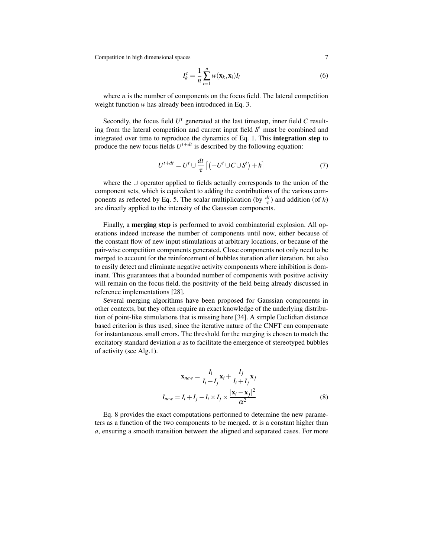Competition in high dimensional spaces 7

$$
I_k^c = \frac{1}{n} \sum_{i=1}^n w(\mathbf{x}_k, \mathbf{x}_i) I_i
$$
 (6)

where  $n$  is the number of components on the focus field. The lateral competition weight function *w* has already been introduced in Eq. 3.

Secondly, the focus field  $U^t$  generated at the last timestep, inner field  $C$  resulting from the lateral competition and current input field *S <sup>t</sup>* must be combined and integrated over time to reproduce the dynamics of Eq. 1. This integration step to produce the new focus fields  $U^{t+dt}$  is described by the following equation:

$$
U^{t+dt} = U^t \cup \frac{dt}{\tau} \left[ \left( -U^t \cup C \cup S^t \right) + h \right] \tag{7}
$$

where the ∪ operator applied to fields actually corresponds to the union of the component sets, which is equivalent to adding the contributions of the various components as reflected by Eq. 5. The scalar multiplication (by  $\frac{dt}{\tau}$ ) and addition (of *h*) are directly applied to the intensity of the Gaussian components.

Finally, a merging step is performed to avoid combinatorial explosion. All operations indeed increase the number of components until now, either because of the constant flow of new input stimulations at arbitrary locations, or because of the pair-wise competition components generated. Close components not only need to be merged to account for the reinforcement of bubbles iteration after iteration, but also to easily detect and eliminate negative activity components where inhibition is dominant. This guarantees that a bounded number of components with positive activity will remain on the focus field, the positivity of the field being already discussed in reference implementations [28].

Several merging algorithms have been proposed for Gaussian components in other contexts, but they often require an exact knowledge of the underlying distribution of point-like stimulations that is missing here [34]. A simple Euclidian distance based criterion is thus used, since the iterative nature of the CNFT can compensate for instantaneous small errors. The threshold for the merging is chosen to match the excitatory standard deviation *a* as to facilitate the emergence of stereotyped bubbles of activity (see Alg.1).

$$
\mathbf{x}_{new} = \frac{I_i}{I_i + I_j} \mathbf{x}_i + \frac{I_j}{I_i + I_j} \mathbf{x}_j
$$

$$
I_{new} = I_i + I_j - I_i \times I_j \times \frac{|\mathbf{x}_i - \mathbf{x}_j|^2}{\alpha^2}
$$
(8)

Eq. 8 provides the exact computations performed to determine the new parameters as a function of the two components to be merged.  $\alpha$  is a constant higher than *a*, ensuring a smooth transition between the aligned and separated cases. For more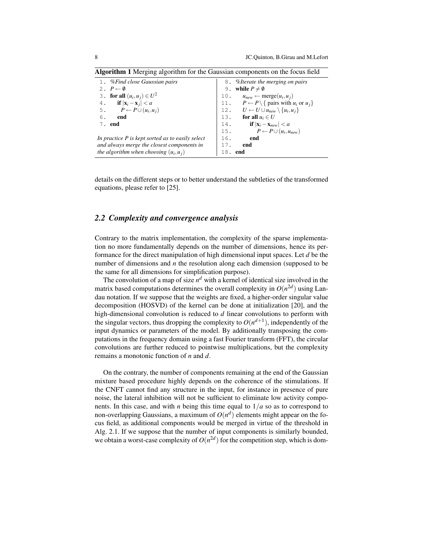Algorithm 1 Merging algorithm for the Gaussian components on the focus field

| 1. % Find close Gaussian pairs                   | 8. % <i>biterate the merging on pairs</i>                                    |
|--------------------------------------------------|------------------------------------------------------------------------------|
| 2. $P \leftarrow \emptyset$                      | while $P \neq \emptyset$<br>9.                                               |
| 3. for all $(u_i, u_j) \in U^2$                  | 10. $u_{new} \leftarrow merge(u_i, u_i)$                                     |
| 4. if $ \mathbf{x}_i - \mathbf{x}_j  < a$        | 11. $P \leftarrow P \setminus \{ \text{ pairs with } u_i \text{ or } u_j \}$ |
| 5. $P \leftarrow P \cup (u_i, u_j)$              | 12. $U \leftarrow U \cup u_{new} \setminus \{u_i, u_j\}$                     |
| 6.<br>end                                        | 13.<br>for all $u_i \in U$                                                   |
| end                                              | 14. if $ \mathbf{x}_i - \mathbf{x}_{new}  < a$                               |
|                                                  | 15. $P \leftarrow P \cup (u_i, u_{new})$                                     |
| In practice P is kept sorted as to easily select | 16.<br>end                                                                   |
| and always merge the closest components in       | 17.<br>end                                                                   |
| the algorithm when choosing $(u_i, u_j)$         | 18.<br>end                                                                   |

details on the different steps or to better understand the subtleties of the transformed equations, please refer to [25].

## *2.2 Complexity and convergence analysis*

Contrary to the matrix implementation, the complexity of the sparse implementation no more fundamentally depends on the number of dimensions, hence its performance for the direct manipulation of high dimensional input spaces. Let *d* be the number of dimensions and *n* the resolution along each dimension (supposed to be the same for all dimensions for simplification purpose).

The convolution of a map of size  $n^d$  with a kernel of identical size involved in the matrix based computations determines the overall complexity in  $O(n^{2d})$  using Landau notation. If we suppose that the weights are fixed, a higher-order singular value decomposition (HOSVD) of the kernel can be done at initialization [20], and the high-dimensional convolution is reduced to *d* linear convolutions to perform with the singular vectors, thus dropping the complexity to  $O(n^{d+1})$ , independently of the input dynamics or parameters of the model. By additionally transposing the computations in the frequency domain using a fast Fourier transform (FFT), the circular convolutions are further reduced to pointwise multiplications, but the complexity remains a monotonic function of *n* and *d*.

On the contrary, the number of components remaining at the end of the Gaussian mixture based procedure highly depends on the coherence of the stimulations. If the CNFT cannot find any structure in the input, for instance in presence of pure noise, the lateral inhibition will not be sufficient to eliminate low activity components. In this case, and with *n* being this time equal to 1/*a* so as to correspond to non-overlapping Gaussians, a maximum of  $O(n^d)$  elements might appear on the focus field, as additional components would be merged in virtue of the threshold in Alg. 2.1. If we suppose that the number of input components is similarly bounded, we obtain a worst-case complexity of  $O(n^{2d})$  for the competition step, which is dom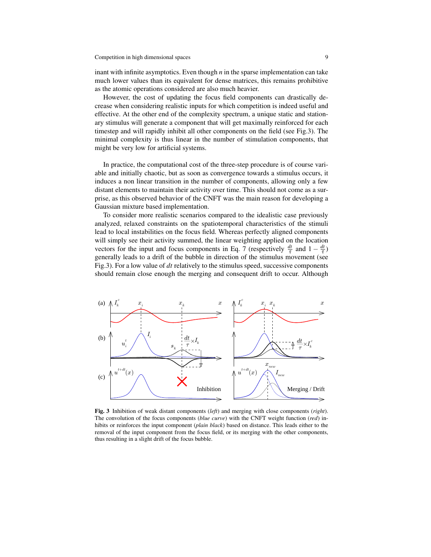inant with infinite asymptotics. Even though  $n$  in the sparse implementation can take much lower values than its equivalent for dense matrices, this remains prohibitive as the atomic operations considered are also much heavier.

However, the cost of updating the focus field components can drastically decrease when considering realistic inputs for which competition is indeed useful and effective. At the other end of the complexity spectrum, a unique static and stationary stimulus will generate a component that will get maximally reinforced for each timestep and will rapidly inhibit all other components on the field (see Fig.3). The minimal complexity is thus linear in the number of stimulation components, that might be very low for artificial systems.

In practice, the computational cost of the three-step procedure is of course variable and initially chaotic, but as soon as convergence towards a stimulus occurs, it induces a non linear transition in the number of components, allowing only a few distant elements to maintain their activity over time. This should not come as a surprise, as this observed behavior of the CNFT was the main reason for developing a Gaussian mixture based implementation.

To consider more realistic scenarios compared to the idealistic case previously analyzed, relaxed constraints on the spatiotemporal characteristics of the stimuli lead to local instabilities on the focus field. Whereas perfectly aligned components will simply see their activity summed, the linear weighting applied on the location vectors for the input and focus components in Eq. 7 (respectively  $\frac{dt}{\tau}$  and  $1 - \frac{dt}{\tau}$  $\frac{it}{\tau})$ generally leads to a drift of the bubble in direction of the stimulus movement (see Fig.3). For a low value of *dt* relatively to the stimulus speed, successive components should remain close enough the merging and consequent drift to occur. Although



Fig. 3 Inhibition of weak distant components (*left*) and merging with close components (*right*). The convolution of the focus components (*blue curve*) with the CNFT weight function (*red*) inhibits or reinforces the input component (*plain black*) based on distance. This leads either to the removal of the input component from the focus field, or its merging with the other components, thus resulting in a slight drift of the focus bubble.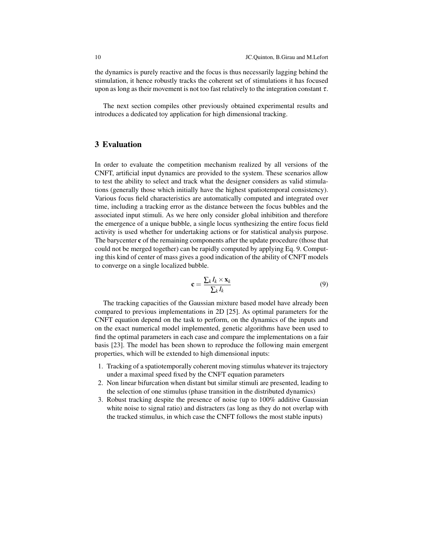the dynamics is purely reactive and the focus is thus necessarily lagging behind the stimulation, it hence robustly tracks the coherent set of stimulations it has focused upon as long as their movement is not too fast relatively to the integration constant  $\tau$ .

The next section compiles other previously obtained experimental results and introduces a dedicated toy application for high dimensional tracking.

# 3 Evaluation

In order to evaluate the competition mechanism realized by all versions of the CNFT, artificial input dynamics are provided to the system. These scenarios allow to test the ability to select and track what the designer considers as valid stimulations (generally those which initially have the highest spatiotemporal consistency). Various focus field characteristics are automatically computed and integrated over time, including a tracking error as the distance between the focus bubbles and the associated input stimuli. As we here only consider global inhibition and therefore the emergence of a unique bubble, a single locus synthesizing the entire focus field activity is used whether for undertaking actions or for statistical analysis purpose. The barycenter c of the remaining components after the update procedure (those that could not be merged together) can be rapidly computed by applying Eq. 9. Computing this kind of center of mass gives a good indication of the ability of CNFT models to converge on a single localized bubble.

$$
\mathbf{c} = \frac{\sum_{k} I_k \times \mathbf{x}_k}{\sum_{k} I_k} \tag{9}
$$

The tracking capacities of the Gaussian mixture based model have already been compared to previous implementations in 2D [25]. As optimal parameters for the CNFT equation depend on the task to perform, on the dynamics of the inputs and on the exact numerical model implemented, genetic algorithms have been used to find the optimal parameters in each case and compare the implementations on a fair basis [23]. The model has been shown to reproduce the following main emergent properties, which will be extended to high dimensional inputs:

- 1. Tracking of a spatiotemporally coherent moving stimulus whatever its trajectory under a maximal speed fixed by the CNFT equation parameters
- 2. Non linear bifurcation when distant but similar stimuli are presented, leading to the selection of one stimulus (phase transition in the distributed dynamics)
- 3. Robust tracking despite the presence of noise (up to 100% additive Gaussian white noise to signal ratio) and distracters (as long as they do not overlap with the tracked stimulus, in which case the CNFT follows the most stable inputs)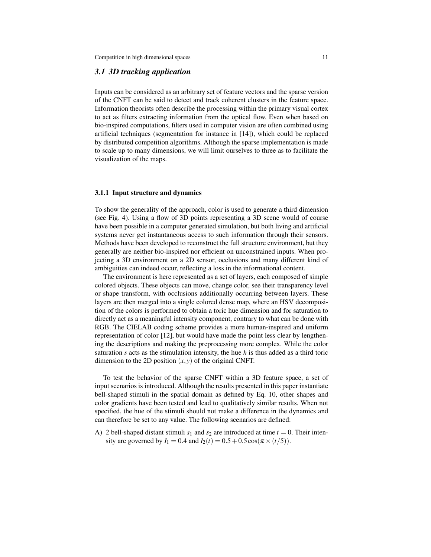#### *3.1 3D tracking application*

Inputs can be considered as an arbitrary set of feature vectors and the sparse version of the CNFT can be said to detect and track coherent clusters in the feature space. Information theorists often describe the processing within the primary visual cortex to act as filters extracting information from the optical flow. Even when based on bio-inspired computations, filters used in computer vision are often combined using artificial techniques (segmentation for instance in [14]), which could be replaced by distributed competition algorithms. Although the sparse implementation is made to scale up to many dimensions, we will limit ourselves to three as to facilitate the visualization of the maps.

#### 3.1.1 Input structure and dynamics

To show the generality of the approach, color is used to generate a third dimension (see Fig. 4). Using a flow of 3D points representing a 3D scene would of course have been possible in a computer generated simulation, but both living and artificial systems never get instantaneous access to such information through their sensors. Methods have been developed to reconstruct the full structure environment, but they generally are neither bio-inspired nor efficient on unconstrained inputs. When projecting a 3D environment on a 2D sensor, occlusions and many different kind of ambiguities can indeed occur, reflecting a loss in the informational content.

The environment is here represented as a set of layers, each composed of simple colored objects. These objects can move, change color, see their transparency level or shape transform, with occlusions additionally occurring between layers. These layers are then merged into a single colored dense map, where an HSV decomposition of the colors is performed to obtain a toric hue dimension and for saturation to directly act as a meaningful intensity component, contrary to what can be done with RGB. The CIELAB coding scheme provides a more human-inspired and uniform representation of color [12], but would have made the point less clear by lengthening the descriptions and making the preprocessing more complex. While the color saturation *s* acts as the stimulation intensity, the hue *h* is thus added as a third toric dimension to the 2D position  $(x, y)$  of the original CNFT.

To test the behavior of the sparse CNFT within a 3D feature space, a set of input scenarios is introduced. Although the results presented in this paper instantiate bell-shaped stimuli in the spatial domain as defined by Eq. 10, other shapes and color gradients have been tested and lead to qualitatively similar results. When not specified, the hue of the stimuli should not make a difference in the dynamics and can therefore be set to any value. The following scenarios are defined:

A) 2 bell-shaped distant stimuli  $s_1$  and  $s_2$  are introduced at time  $t = 0$ . Their intensity are governed by  $I_1 = 0.4$  and  $I_2(t) = 0.5 + 0.5 \cos(\pi \times (t/5)).$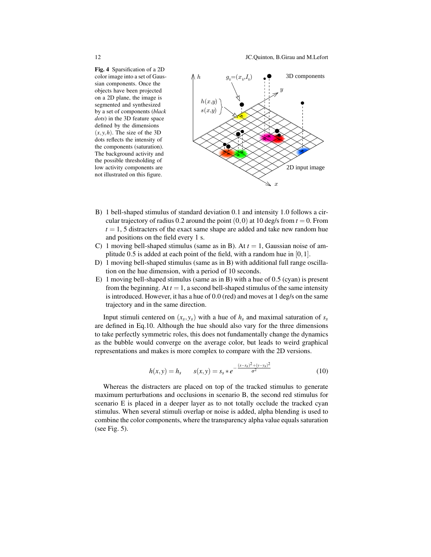Fig. 4 Sparsification of a 2D color image into a set of Gaussian components. Once the objects have been projected on a 2D plane, the image is segmented and synthesized by a set of components (*black dots*) in the 3D feature space defined by the dimensions  $(x, y, h)$ . The size of the 3D dots reflects the intensity of the components (saturation). The background activity and the possible thresholding of low activity components are not illustrated on this figure.



- B) 1 bell-shaped stimulus of standard deviation 0.1 and intensity 1.0 follows a circular trajectory of radius 0.2 around the point  $(0,0)$  at 10 deg/s from  $t = 0$ . From  $t = 1$ , 5 distracters of the exact same shape are added and take new random hue and positions on the field every 1 s.
- C) 1 moving bell-shaped stimulus (same as in B). At  $t = 1$ , Gaussian noise of amplitude 0.5 is added at each point of the field, with a random hue in [0,1].
- D) 1 moving bell-shaped stimulus (same as in B) with additional full range oscillation on the hue dimension, with a period of 10 seconds.
- E) 1 moving bell-shaped stimulus (same as in B) with a hue of 0.5 (cyan) is present from the beginning. At  $t = 1$ , a second bell-shaped stimulus of the same intensity is introduced. However, it has a hue of 0.0 (red) and moves at 1 deg/s on the same trajectory and in the same direction.

Input stimuli centered on  $(x_s, y_s)$  with a hue of  $h_s$  and maximal saturation of  $s_s$ are defined in Eq.10. Although the hue should also vary for the three dimensions to take perfectly symmetric roles, this does not fundamentally change the dynamics as the bubble would converge on the average color, but leads to weird graphical representations and makes is more complex to compare with the 2D versions.

$$
h(x, y) = h_s \qquad s(x, y) = s_s * e^{-\frac{(x - x_s)^2 + (y - y_s)^2}{\sigma^2}}
$$
(10)

Whereas the distracters are placed on top of the tracked stimulus to generate maximum perturbations and occlusions in scenario B, the second red stimulus for scenario E is placed in a deeper layer as to not totally occlude the tracked cyan stimulus. When several stimuli overlap or noise is added, alpha blending is used to combine the color components, where the transparency alpha value equals saturation (see Fig. 5).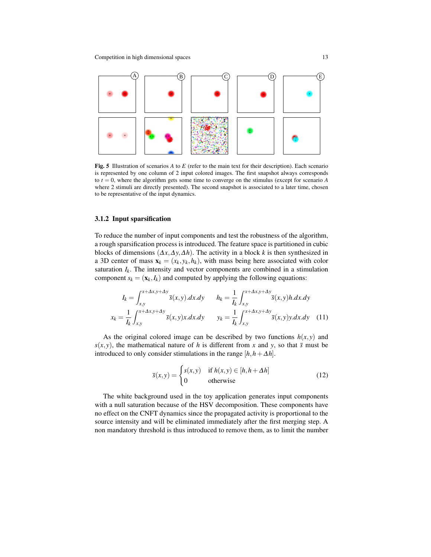

Fig. 5 Illustration of scenarios *A* to *E* (refer to the main text for their description). Each scenario is represented by one column of 2 input colored images. The first snapshot always corresponds to *t* = 0, where the algorithm gets some time to converge on the stimulus (except for scenario *A* where 2 stimuli are directly presented). The second snapshot is associated to a later time, chosen to be representative of the input dynamics.

#### 3.1.2 Input sparsification

To reduce the number of input components and test the robustness of the algorithm, a rough sparsification process is introduced. The feature space is partitioned in cubic blocks of dimensions  $(\Delta x, \Delta y, \Delta h)$ . The activity in a block *k* is then synthesized in a 3D center of mass  $\mathbf{x}_k = (x_k, y_k, h_k)$ , with mass being here associated with color saturation  $I_k$ . The intensity and vector components are combined in a stimulation component  $s_k = (\mathbf{x}_k, I_k)$  and computed by applying the following equations:

$$
I_{k} = \int_{x,y}^{x + \Delta x, y + \Delta y} \overline{s}(x, y).dx.dy \qquad h_{k} = \frac{1}{I_{k}} \int_{x,y}^{x + \Delta x, y + \Delta y} \overline{s}(x, y)h.dx.dy
$$

$$
x_{k} = \frac{1}{I_{k}} \int_{x,y}^{x + \Delta x, y + \Delta y} \overline{s}(x, y)x.dx.dy \qquad y_{k} = \frac{1}{I_{k}} \int_{x,y}^{x + \Delta x, y + \Delta y} \overline{s}(x, y)y.dx.dy \qquad (11)
$$

As the original colored image can be described by two functions  $h(x, y)$  and  $s(x, y)$ , the mathematical nature of *h* is different from *x* and *y*, so that  $\overline{s}$  must be introduced to only consider stimulations in the range  $[h, h + \Delta h]$ .

$$
\overline{s}(x, y) = \begin{cases} s(x, y) & \text{if } h(x, y) \in [h, h + \Delta h] \\ 0 & \text{otherwise} \end{cases}
$$
(12)

The white background used in the toy application generates input components with a null saturation because of the HSV decomposition. These components have no effect on the CNFT dynamics since the propagated activity is proportional to the source intensity and will be eliminated immediately after the first merging step. A non mandatory threshold is thus introduced to remove them, as to limit the number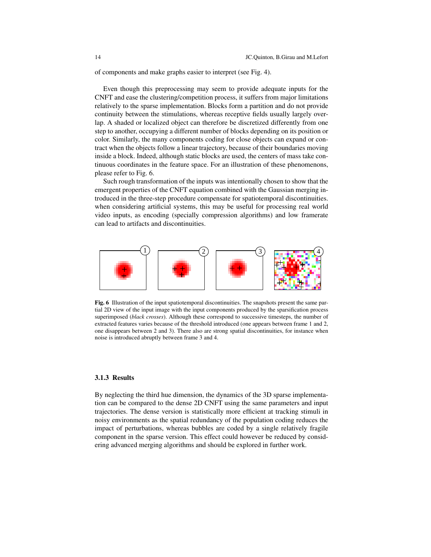of components and make graphs easier to interpret (see Fig. 4).

Even though this preprocessing may seem to provide adequate inputs for the CNFT and ease the clustering/competition process, it suffers from major limitations relatively to the sparse implementation. Blocks form a partition and do not provide continuity between the stimulations, whereas receptive fields usually largely overlap. A shaded or localized object can therefore be discretized differently from one step to another, occupying a different number of blocks depending on its position or color. Similarly, the many components coding for close objects can expand or contract when the objects follow a linear trajectory, because of their boundaries moving inside a block. Indeed, although static blocks are used, the centers of mass take continuous coordinates in the feature space. For an illustration of these phenomenons, please refer to Fig. 6.

Such rough transformation of the inputs was intentionally chosen to show that the emergent properties of the CNFT equation combined with the Gaussian merging introduced in the three-step procedure compensate for spatiotemporal discontinuities. when considering artificial systems, this may be useful for processing real world video inputs, as encoding (specially compression algorithms) and low framerate can lead to artifacts and discontinuities.



Fig. 6 Illustration of the input spatiotemporal discontinuities. The snapshots present the same partial 2D view of the input image with the input components produced by the sparsification process superimposed (*black crosses*). Although these correspond to successive timesteps, the number of extracted features varies because of the threshold introduced (one appears between frame 1 and 2, one disappears between 2 and 3). There also are strong spatial discontinuities, for instance when noise is introduced abruptly between frame 3 and 4.

#### 3.1.3 Results

By neglecting the third hue dimension, the dynamics of the 3D sparse implementation can be compared to the dense 2D CNFT using the same parameters and input trajectories. The dense version is statistically more efficient at tracking stimuli in noisy environments as the spatial redundancy of the population coding reduces the impact of perturbations, whereas bubbles are coded by a single relatively fragile component in the sparse version. This effect could however be reduced by considering advanced merging algorithms and should be explored in further work.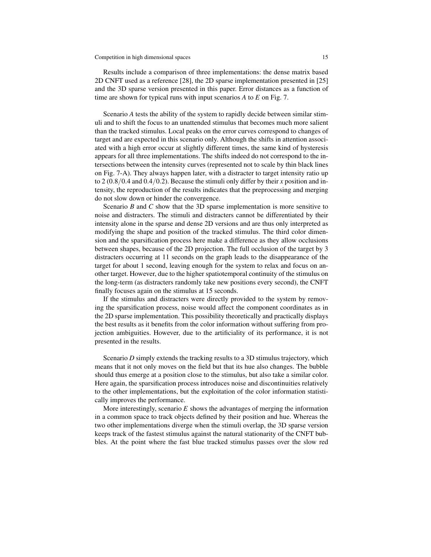Results include a comparison of three implementations: the dense matrix based 2D CNFT used as a reference [28], the 2D sparse implementation presented in [25] and the 3D sparse version presented in this paper. Error distances as a function of time are shown for typical runs with input scenarios *A* to *E* on Fig. 7.

Scenario *A* tests the ability of the system to rapidly decide between similar stimuli and to shift the focus to an unattended stimulus that becomes much more salient than the tracked stimulus. Local peaks on the error curves correspond to changes of target and are expected in this scenario only. Although the shifts in attention associated with a high error occur at slightly different times, the same kind of hysteresis appears for all three implementations. The shifts indeed do not correspond to the intersections between the intensity curves (represented not to scale by thin black lines on Fig. 7-A). They always happen later, with a distracter to target intensity ratio up to 2 (0.8/0.4 and 0.4/0.2). Because the stimuli only differ by their *x* position and intensity, the reproduction of the results indicates that the preprocessing and merging do not slow down or hinder the convergence.

Scenario *B* and *C* show that the 3D sparse implementation is more sensitive to noise and distracters. The stimuli and distracters cannot be differentiated by their intensity alone in the sparse and dense 2D versions and are thus only interpreted as modifying the shape and position of the tracked stimulus. The third color dimension and the sparsification process here make a difference as they allow occlusions between shapes, because of the 2D projection. The full occlusion of the target by 3 distracters occurring at 11 seconds on the graph leads to the disappearance of the target for about 1 second, leaving enough for the system to relax and focus on another target. However, due to the higher spatiotemporal continuity of the stimulus on the long-term (as distracters randomly take new positions every second), the CNFT finally focuses again on the stimulus at 15 seconds.

If the stimulus and distracters were directly provided to the system by removing the sparsification process, noise would affect the component coordinates as in the 2D sparse implementation. This possibility theoretically and practically displays the best results as it benefits from the color information without suffering from projection ambiguities. However, due to the artificiality of its performance, it is not presented in the results.

Scenario *D* simply extends the tracking results to a 3D stimulus trajectory, which means that it not only moves on the field but that its hue also changes. The bubble should thus emerge at a position close to the stimulus, but also take a similar color. Here again, the sparsification process introduces noise and discontinuities relatively to the other implementations, but the exploitation of the color information statistically improves the performance.

More interestingly, scenario *E* shows the advantages of merging the information in a common space to track objects defined by their position and hue. Whereas the two other implementations diverge when the stimuli overlap, the 3D sparse version keeps track of the fastest stimulus against the natural stationarity of the CNFT bubbles. At the point where the fast blue tracked stimulus passes over the slow red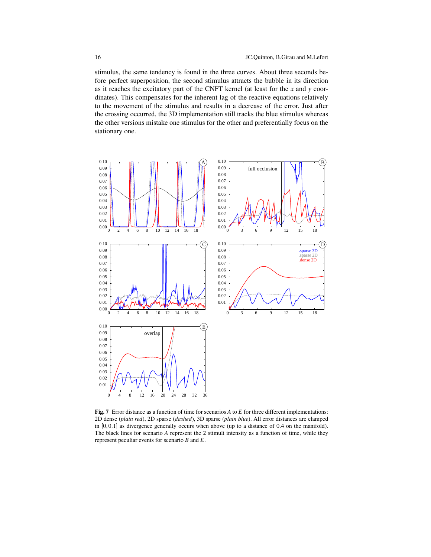stimulus, the same tendency is found in the three curves. About three seconds before perfect superposition, the second stimulus attracts the bubble in its direction as it reaches the excitatory part of the CNFT kernel (at least for the *x* and *y* coordinates). This compensates for the inherent lag of the reactive equations relatively to the movement of the stimulus and results in a decrease of the error. Just after the crossing occurred, the 3D implementation still tracks the blue stimulus whereas the other versions mistake one stimulus for the other and preferentially focus on the stationary one.



Fig. 7 Error distance as a function of time for scenarios *A* to *E* for three different implementations: 2D dense (*plain red*), 2D sparse (*dashed*), 3D sparse (*plain blue*). All error distances are clamped in [0,0.1] as divergence generally occurs when above (up to a distance of 0.4 on the manifold). The black lines for scenario *A* represent the 2 stimuli intensity as a function of time, while they represent peculiar events for scenario *B* and *E*.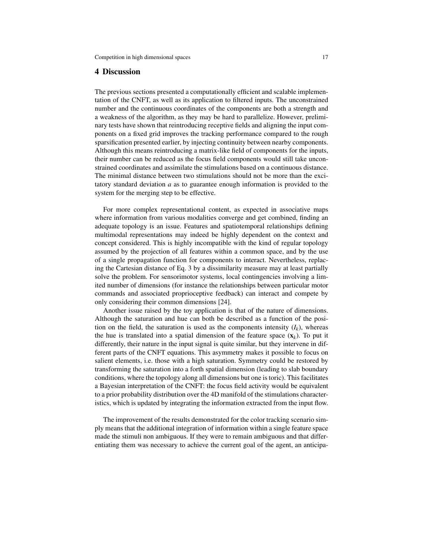#### 4 Discussion

The previous sections presented a computationally efficient and scalable implementation of the CNFT, as well as its application to filtered inputs. The unconstrained number and the continuous coordinates of the components are both a strength and a weakness of the algorithm, as they may be hard to parallelize. However, preliminary tests have shown that reintroducing receptive fields and aligning the input components on a fixed grid improves the tracking performance compared to the rough sparsification presented earlier, by injecting continuity between nearby components. Although this means reintroducing a matrix-like field of components for the inputs, their number can be reduced as the focus field components would still take unconstrained coordinates and assimilate the stimulations based on a continuous distance. The minimal distance between two stimulations should not be more than the excitatory standard deviation *a* as to guarantee enough information is provided to the system for the merging step to be effective.

For more complex representational content, as expected in associative maps where information from various modalities converge and get combined, finding an adequate topology is an issue. Features and spatiotemporal relationships defining multimodal representations may indeed be highly dependent on the context and concept considered. This is highly incompatible with the kind of regular topology assumed by the projection of all features within a common space, and by the use of a single propagation function for components to interact. Nevertheless, replacing the Cartesian distance of Eq. 3 by a dissimilarity measure may at least partially solve the problem. For sensorimotor systems, local contingencies involving a limited number of dimensions (for instance the relationships between particular motor commands and associated proprioceptive feedback) can interact and compete by only considering their common dimensions [24].

Another issue raised by the toy application is that of the nature of dimensions. Although the saturation and hue can both be described as a function of the position on the field, the saturation is used as the components intensity  $(I_k)$ , whereas the hue is translated into a spatial dimension of the feature space  $(\mathbf{x}_k)$ . To put it differently, their nature in the input signal is quite similar, but they intervene in different parts of the CNFT equations. This asymmetry makes it possible to focus on salient elements, i.e. those with a high saturation. Symmetry could be restored by transforming the saturation into a forth spatial dimension (leading to slab boundary conditions, where the topology along all dimensions but one is toric). This facilitates a Bayesian interpretation of the CNFT: the focus field activity would be equivalent to a prior probability distribution over the 4D manifold of the stimulations characteristics, which is updated by integrating the information extracted from the input flow.

The improvement of the results demonstrated for the color tracking scenario simply means that the additional integration of information within a single feature space made the stimuli non ambiguous. If they were to remain ambiguous and that differentiating them was necessary to achieve the current goal of the agent, an anticipa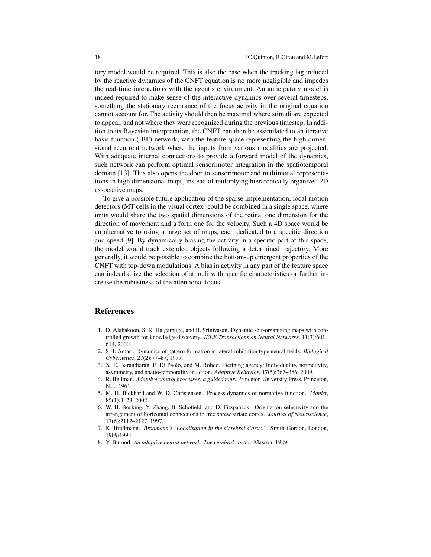tory model would be required. This is also the case when the tracking lag induced by the reactive dynamics of the CNFT equation is no more negligible and impedes the real-time interactions with the agent's environment. An anticipatory model is indeed required to make sense of the interactive dynamics over several timesteps, something the stationary reentrance of the focus activity in the original equation cannot account for. The activity should then be maximal where stimuli are expected to appear, and not where they were recognized during the previous timestep. In addition to its Bayesian interpretation, the CNFT can then be assimilated to an iterative basis function (IBF) network, with the feature space representing the high dimensional recurrent network where the inputs from various modalities are projected. With adequate internal connections to provide a forward model of the dynamics, such network can perform optimal sensorimotor integration in the spatiotemporal domain [13]. This also opens the door to sensorimotor and multimodal representations in high dimensional maps, instead of multiplying hierarchically organized 2D associative maps.

To give a possible future application of the sparse implementation, local motion detectors (MT cells in the visual cortex) could be combined in a single space, where units would share the two spatial dimensions of the retina, one dimension for the direction of movement and a forth one for the velocity. Such a 4D space would be an alternative to using a large set of maps, each dedicated to a specific direction and speed [9]. By dynamically biasing the activity in a specific part of this space, the model would track extended objects following a determined trajectory. More generally, it would be possible to combine the bottom-up emergent properties of the CNFT with top-down modulations. A bias in activity in any part of the feature space can indeed drive the selection of stimuli with specific characteristics or further increase the robustness of the attentional focus.

#### References

- 1. D. Alahakoon, S. K. Halgamuge, and B. Srinivasan. Dynamic self-organizing maps with controlled growth for knowledge discovery. *IEEE Transactions on Neural Networks*, 11(3):601– 614, 2000.
- 2. S.-I. Amari. Dynamics of pattern formation in lateral-inhibition type neural fields. *Biological Cybernetics*, 27(2):77–87, 1977.
- 3. X. E. Barandiaran, E. Di Paolo, and M. Rohde. Defining agency: Individuality, normativity, asymmetry, and spatio-temporality in action. *Adaptive Behavior*, 17(5):367–386, 2009.
- 4. R. Bellman. *Adaptive control processes: a guided tour*. Princeton University Press, Princeton, N.J., 1961.
- 5. M. H. Bickhard and W. D. Christensen. Process dynamics of normative function. *Monist*, 85(1):3–28, 2002.
- 6. W. H. Bosking, Y. Zhang, B. Schofield, and D. Fitzpatrick. Orientation selectivity and the arrangement of horizontal connections in tree shrew striate cortex. *Journal of Neuroscience*, 17(6):2112–2127, 1997.
- 7. K. Brodmann. *Brodmann's 'Localisation in the Cerebral Cortex'*. Smith-Gordon, London, 1909/1994.
- 8. Y. Burnod. *An adaptive neural network: The cerebral cortex*. Masson, 1989.